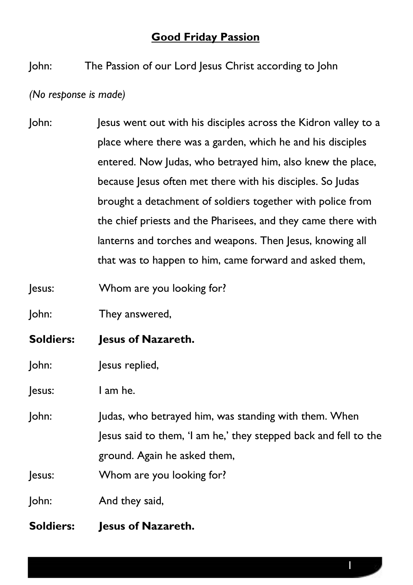## **Good Friday Passion**

John: The Passion of our Lord Jesus Christ according to John

*(No response is made)*

- John: Jesus went out with his disciples across the Kidron valley to a place where there was a garden, which he and his disciples entered. Now Judas, who betrayed him, also knew the place, because Jesus often met there with his disciples. So Judas brought a detachment of soldiers together with police from the chief priests and the Pharisees, and they came there with lanterns and torches and weapons. Then Jesus, knowing all that was to happen to him, came forward and asked them,
- Jesus: Whom are you looking for?

John: They answered,

- **Soldiers: Jesus of Nazareth.**
- John: Jesus replied,

Jesus: I am he.

John: Judas, who betrayed him, was standing with them. When Jesus said to them, 'I am he,' they stepped back and fell to the ground. Again he asked them,

Jesus: Whom are you looking for?

John: And they said,

**Soldiers: Jesus of Nazareth.**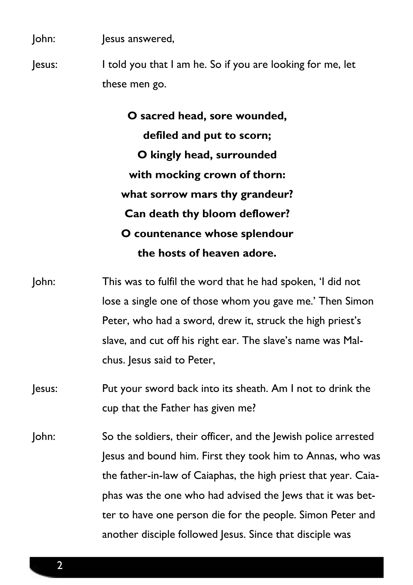John: Jesus answered,

Jesus: I told you that I am he. So if you are looking for me, let these men go.

> **O sacred head, sore wounded, defiled and put to scorn; O kingly head, surrounded with mocking crown of thorn: what sorrow mars thy grandeur? Can death thy bloom deflower? O countenance whose splendour the hosts of heaven adore.**

John: This was to fulfil the word that he had spoken, 'I did not lose a single one of those whom you gave me.' Then Simon Peter, who had a sword, drew it, struck the high priest's slave, and cut off his right ear. The slave's name was Malchus. Jesus said to Peter,

Jesus: Put your sword back into its sheath. Am I not to drink the cup that the Father has given me?

John: So the soldiers, their officer, and the Jewish police arrested Jesus and bound him. First they took him to Annas, who was the father-in-law of Caiaphas, the high priest that year. Caiaphas was the one who had advised the Jews that it was better to have one person die for the people. Simon Peter and another disciple followed Jesus. Since that disciple was

2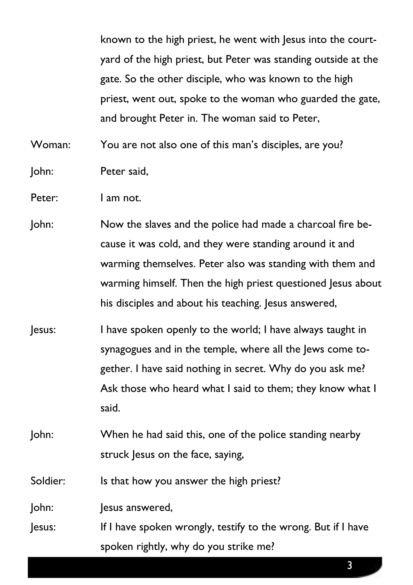known to the high priest, he went with Jesus into the courtyard of the high priest, but Peter was standing outside at the gate. So the other disciple, who was known to the high priest, went out, spoke to the woman who guarded the gate, and brought Peter in. The woman said to Peter,

Woman: You are not also one of this man's disciples, are you?

- John: Peter said,
- Peter: I am not.
- John: Now the slaves and the police had made a charcoal fire because it was cold, and they were standing around it and warming themselves. Peter also was standing with them and warming himself. Then the high priest questioned Jesus about his disciples and about his teaching. Jesus answered,
- Jesus: I have spoken openly to the world; I have always taught in synagogues and in the temple, where all the Jews come together. I have said nothing in secret. Why do you ask me? Ask those who heard what I said to them; they know what I said.
- John: When he had said this, one of the police standing nearby struck Jesus on the face, saying,

Soldier: Is that how you answer the high priest?

John: Jesus answered,

Jesus: If I have spoken wrongly, testify to the wrong. But if I have spoken rightly, why do you strike me?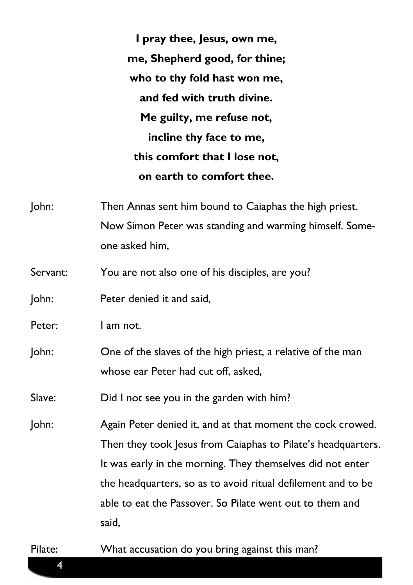**I pray thee, Jesus, own me, me, Shepherd good, for thine; who to thy fold hast won me, and fed with truth divine. Me guilty, me refuse not, incline thy face to me, this comfort that I lose not, on earth to comfort thee.**

- John: Then Annas sent him bound to Caiaphas the high priest. Now Simon Peter was standing and warming himself. Someone asked him,
- Servant: You are not also one of his disciples, are you?
- John: Peter denied it and said,
- Peter: I am not.
- John: One of the slaves of the high priest, a relative of the man whose ear Peter had cut off, asked,
- Slave: Did I not see you in the garden with him?
- John: Again Peter denied it, and at that moment the cock crowed. Then they took Jesus from Caiaphas to Pilate's headquarters. It was early in the morning. They themselves did not enter the headquarters, so as to avoid ritual defilement and to be able to eat the Passover. So Pilate went out to them and said,

4

Pilate: What accusation do you bring against this man?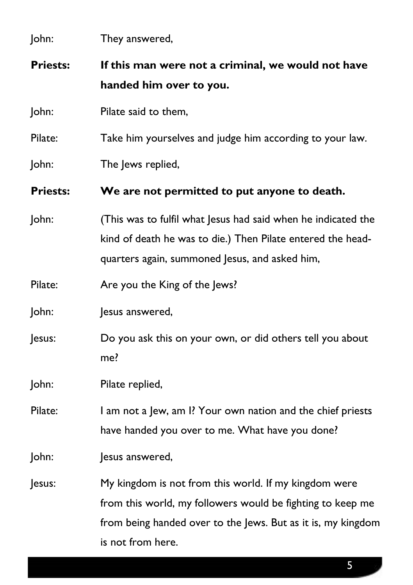| John:           | They answered,                                                                                                                                                                                           |
|-----------------|----------------------------------------------------------------------------------------------------------------------------------------------------------------------------------------------------------|
| <b>Priests:</b> | If this man were not a criminal, we would not have<br>handed him over to you.                                                                                                                            |
| John:           | Pilate said to them,                                                                                                                                                                                     |
| Pilate:         | Take him yourselves and judge him according to your law.                                                                                                                                                 |
| John:           | The Jews replied,                                                                                                                                                                                        |
| <b>Priests:</b> | We are not permitted to put anyone to death.                                                                                                                                                             |
| John:           | (This was to fulfil what Jesus had said when he indicated the<br>kind of death he was to die.) Then Pilate entered the head-<br>quarters again, summoned Jesus, and asked him,                           |
| Pilate:         | Are you the King of the Jews?                                                                                                                                                                            |
| John:           | Jesus answered,                                                                                                                                                                                          |
| Jesus:          | Do you ask this on your own, or did others tell you about<br>me?                                                                                                                                         |
| John:           | Pilate replied,                                                                                                                                                                                          |
| Pilate:         | I am not a Jew, am I? Your own nation and the chief priests<br>have handed you over to me. What have you done?                                                                                           |
| John:           | lesus answered,                                                                                                                                                                                          |
| Jesus:          | My kingdom is not from this world. If my kingdom were<br>from this world, my followers would be fighting to keep me<br>from being handed over to the Jews. But as it is, my kingdom<br>is not from here. |

5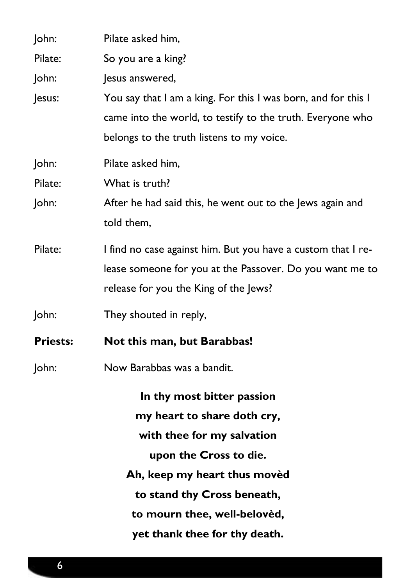| John:           | Pilate asked him,                                             |
|-----------------|---------------------------------------------------------------|
| Pilate:         | So you are a king?                                            |
| John:           | Jesus answered,                                               |
| Jesus:          | You say that I am a king. For this I was born, and for this I |
|                 | came into the world, to testify to the truth. Everyone who    |
|                 | belongs to the truth listens to my voice.                     |
| John:           | Pilate asked him,                                             |
| Pilate:         | What is truth?                                                |
| John:           | After he had said this, he went out to the Jews again and     |
|                 | told them,                                                    |
| Pilate:         | I find no case against him. But you have a custom that I re-  |
|                 | lease someone for you at the Passover. Do you want me to      |
|                 | release for you the King of the Jews?                         |
| John:           | They shouted in reply,                                        |
| <b>Priests:</b> | Not this man, but Barabbas!                                   |
| John:           | Now Barabbas was a bandit.                                    |
|                 | In thy most bitter passion                                    |
|                 | my heart to share doth cry,                                   |
|                 | with thee for my salvation                                    |
|                 | upon the Cross to die.                                        |
|                 | Ah, keep my heart thus moved                                  |
|                 | to stand thy Cross beneath,                                   |
|                 | to mourn thee, well-belovèd,                                  |
|                 | yet thank thee for thy death.                                 |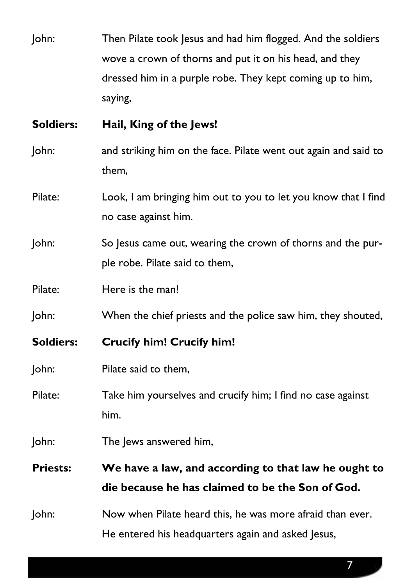John: Then Pilate took Jesus and had him flogged. And the soldiers wove a crown of thorns and put it on his head, and they dressed him in a purple robe. They kept coming up to him, saying,

## **Soldiers: Hail, King of the Jews!**

- John: and striking him on the face. Pilate went out again and said to them,
- Pilate: Look, I am bringing him out to you to let you know that I find no case against him.
- John: So Jesus came out, wearing the crown of thorns and the purple robe. Pilate said to them,
- Pilate: Here is the man!
- John: When the chief priests and the police saw him, they shouted,
- **Soldiers: Crucify him! Crucify him!**
- John: Pilate said to them,
- Pilate: Take him yourselves and crucify him; I find no case against him.
- John: The Jews answered him,
- **Priests: We have a law, and according to that law he ought to die because he has claimed to be the Son of God.**
- John: Now when Pilate heard this, he was more afraid than ever. He entered his headquarters again and asked Jesus,

7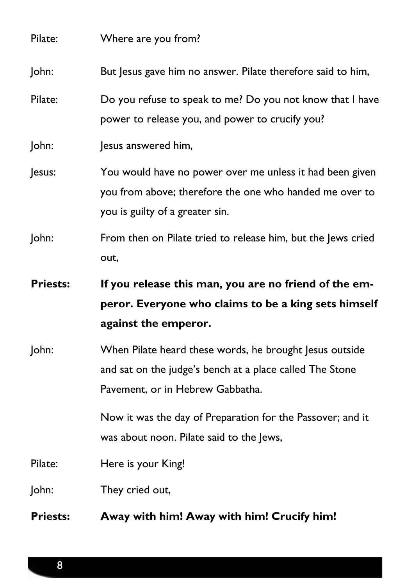| Pilate:<br>John: | Pavement, or in Hebrew Gabbatha.<br>Now it was the day of Preparation for the Passover; and it<br>was about noon. Pilate said to the Jews,<br>Here is your King!<br>They cried out, |
|------------------|-------------------------------------------------------------------------------------------------------------------------------------------------------------------------------------|
|                  |                                                                                                                                                                                     |
|                  |                                                                                                                                                                                     |
|                  |                                                                                                                                                                                     |
| John:            | When Pilate heard these words, he brought Jesus outside<br>and sat on the judge's bench at a place called The Stone                                                                 |
| <b>Priests:</b>  | If you release this man, you are no friend of the em-<br>peror. Everyone who claims to be a king sets himself<br>against the emperor.                                               |
| John:            | From then on Pilate tried to release him, but the Jews cried<br>out,                                                                                                                |
| Jesus:           | You would have no power over me unless it had been given<br>you from above; therefore the one who handed me over to<br>you is guilty of a greater sin.                              |
| John:            | Jesus answered him,                                                                                                                                                                 |
| Pilate:          | Do you refuse to speak to me? Do you not know that I have<br>power to release you, and power to crucify you?                                                                        |
| John:            | But Jesus gave him no answer. Pilate therefore said to him,                                                                                                                         |
|                  |                                                                                                                                                                                     |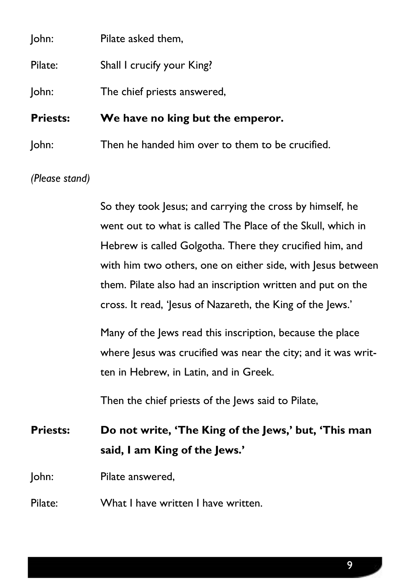| John:           | Pilate asked them,                               |
|-----------------|--------------------------------------------------|
| Pilate:         | Shall I crucify your King?                       |
| John:           | The chief priests answered,                      |
| <b>Priests:</b> | We have no king but the emperor.                 |
| John:           | Then he handed him over to them to be crucified. |
|                 |                                                  |

*(Please stand)*

So they took Jesus; and carrying the cross by himself, he went out to what is called The Place of the Skull, which in Hebrew is called Golgotha. There they crucified him, and with him two others, one on either side, with Jesus between them. Pilate also had an inscription written and put on the cross. It read, 'Jesus of Nazareth, the King of the Jews.'

Many of the Jews read this inscription, because the place where Jesus was crucified was near the city; and it was written in Hebrew, in Latin, and in Greek.

Then the chief priests of the Jews said to Pilate,

**Priests: Do not write, 'The King of the Jews,' but, 'This man said, I am King of the Jews.'** 

John: Pilate answered,

Pilate: What I have written I have written.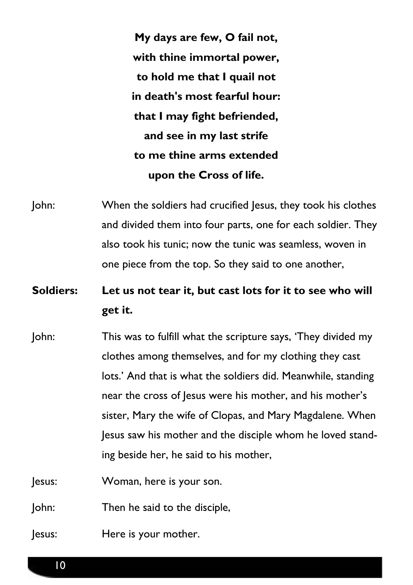**My days are few, O fail not, with thine immortal power, to hold me that I quail not in death's most fearful hour: that I may fight befriended, and see in my last strife to me thine arms extended upon the Cross of life.**

John: When the soldiers had crucified Jesus, they took his clothes and divided them into four parts, one for each soldier. They also took his tunic; now the tunic was seamless, woven in one piece from the top. So they said to one another,

## **Soldiers: Let us not tear it, but cast lots for it to see who will get it.**

John: This was to fulfill what the scripture says, 'They divided my clothes among themselves, and for my clothing they cast lots.' And that is what the soldiers did. Meanwhile, standing near the cross of Jesus were his mother, and his mother's sister, Mary the wife of Clopas, and Mary Magdalene. When Jesus saw his mother and the disciple whom he loved standing beside her, he said to his mother,

Jesus: Woman, here is your son.

John: Then he said to the disciple,

Jesus: Here is your mother.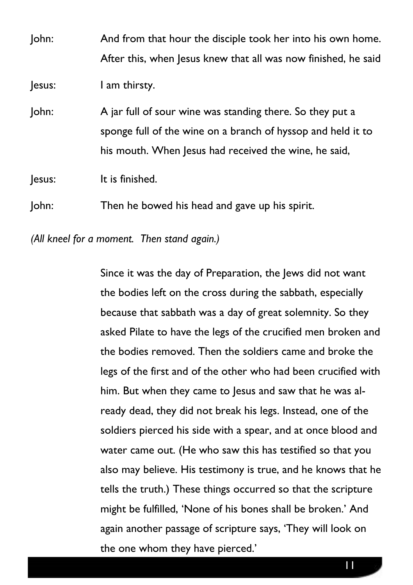| John:  | And from that hour the disciple took her into his own home.<br>After this, when Jesus knew that all was now finished, he said |
|--------|-------------------------------------------------------------------------------------------------------------------------------|
|        |                                                                                                                               |
| Jesus: | I am thirsty.                                                                                                                 |
| John:  | A jar full of sour wine was standing there. So they put a                                                                     |
|        | sponge full of the wine on a branch of hyssop and held it to                                                                  |
|        | his mouth. When Jesus had received the wine, he said,                                                                         |
| Jesus: | It is finished.                                                                                                               |
| John:  | Then he bowed his head and gave up his spirit.                                                                                |

*(All kneel for a moment. Then stand again.)*

Since it was the day of Preparation, the Jews did not want the bodies left on the cross during the sabbath, especially because that sabbath was a day of great solemnity. So they asked Pilate to have the legs of the crucified men broken and the bodies removed. Then the soldiers came and broke the legs of the first and of the other who had been crucified with him. But when they came to Jesus and saw that he was already dead, they did not break his legs. Instead, one of the soldiers pierced his side with a spear, and at once blood and water came out. (He who saw this has testified so that you also may believe. His testimony is true, and he knows that he tells the truth.) These things occurred so that the scripture might be fulfilled, 'None of his bones shall be broken.' And again another passage of scripture says, 'They will look on the one whom they have pierced.'